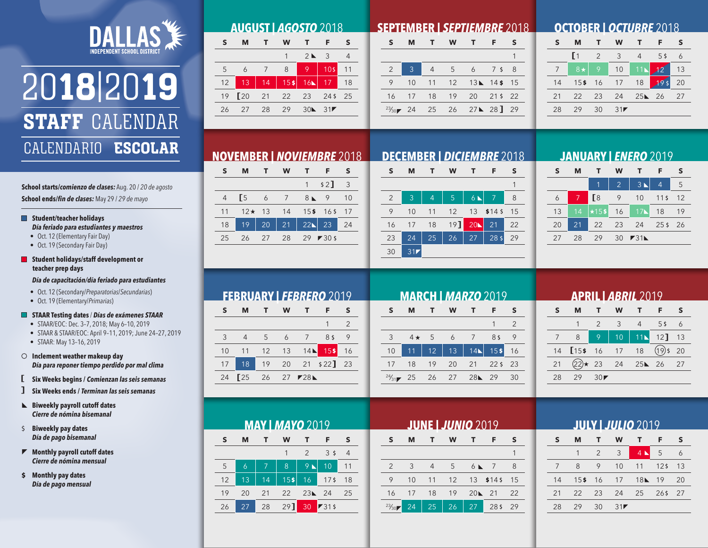

# 2018|2019 **STAFF CALENDAR** CALENDARIO ESCOLAR

**School starts/***comienzo de clases:* Aug. 20 / *20 de agosto* **School ends/***fin de clases:* May 29 / *29 de mayo*

#### **Student/teacher holidays**

- *Día feriado para estudiantes y maestros*
- Oct. 12 (Elementary Fair Day)
- Oct. 19 (Secondary Fair Day)

#### $\blacksquare$  Student holidays/staff development or **teacher prep days**

#### *Día de capacitación/día feriado para estudiantes*

- Oct. 12 (Secondary/*Preparatorias*/*Secundarias*)
- Oct. 19 (Elementary/*Primarias*)

#### **STAAR Testing dates** / *Días de exámenes STAAR*

- STAAR/EOC: Dec. 3–7, 2018; May 6–10, 2019
- STAAR & STAAR/EOC: April 9–11, 2019; June 24–27, 2019
- STAAR: May 13–16, 2019

#### **Inclement weather makeup day** *Día para reponer tiempo perdido por mal clima*

- **Six Weeks begins /** *Comienzan las seis semanas*
- 1 **Six Weeks ends /** *Terminan las seis semanas*
- x **Biweekly payroll cutoff dates** *Cierre de nómina bisemanal*
- \$ **Biweekly pay dates** *Día de pago bisemanal*
- z **Monthly payroll cutoff dates** *Cierre de nómina mensual*
- \$ **Monthly pay dates** *Día de pago mensual*

| <b>AUGUST   <i>AGOSTO</i> 2018</b> |             |    |         |                 |                         |    |  |
|------------------------------------|-------------|----|---------|-----------------|-------------------------|----|--|
| s                                  | м           | т. | W       | т               | F                       | s  |  |
|                                    |             |    |         | $2N = 3$        |                         |    |  |
| 5                                  | 6           |    | 8       | 9               | 10 <sub>5</sub>         | 11 |  |
| 12                                 | 13          | 14 | $15$ \$ | 16L             | 17                      | 18 |  |
| 19                                 | $\Gamma$ 20 | 21 | 22      | 23              | 245                     | 25 |  |
| 26                                 | 27          | 28 | 29      | 30 <sup>2</sup> | $31\blacktriangleright$ |    |  |

## **SEPTEMBER |** *SEPTIEMBRE* 2018

| 3<br>$\overline{2}$<br>5 <sup>1</sup><br>$\overline{4}$<br>6 7 5 8<br>11 12 13 14\$ 15<br>9<br>10<br>16 17 18 19 20 21 \$ 22 | м | <b>W</b> | T F |  |
|------------------------------------------------------------------------------------------------------------------------------|---|----------|-----|--|
|                                                                                                                              |   |          |     |  |
|                                                                                                                              |   |          |     |  |
|                                                                                                                              |   |          |     |  |
|                                                                                                                              |   |          |     |  |
| $23/30$ 24 25 26 27 28 28 29                                                                                                 |   |          |     |  |

## **OCTOBER |** *OCTUBRE* 2018

|    | м        |               | w              |                   | F                            |    |
|----|----------|---------------|----------------|-------------------|------------------------------|----|
|    | Г1       | $\mathcal{P}$ | 3 <sup>3</sup> | 4                 | 55                           | 6  |
| 7  | $8\star$ | 9             | 10             | 11 <sub>k</sub>   | $\blacktriangledown$         | 13 |
| 14 | $15$ \$  | 16            | 17             | 18                | 19<br>$\overline{\varsigma}$ | 20 |
| 21 | 22       | 23            | 24             | $25 \triangle 26$ |                              | 27 |
| 28 | 29       | 30            | 31             |                   |                              |    |

## **NOVEMBER |** *NOVIEMBRE* 2018

|    | м             |                 | <b>W</b>       | <b>T</b>        | Е.            |                          |
|----|---------------|-----------------|----------------|-----------------|---------------|--------------------------|
|    |               |                 |                | $\mathbf{1}$    | $\frac{1}{2}$ | $\overline{\phantom{a}}$ |
| 4  | $\sqrt{5}$    | 6               | $\overline{7}$ |                 | $8 \times 9$  | 10                       |
| 11 | $12 \star 13$ |                 |                | 14 15\$ 16\$ 17 |               |                          |
| 18 | 19            | 20 <sup>°</sup> | 21             |                 | $22$ 23       | 24                       |
| 25 | 26            | 27              | 28             | $29$ 730 \$     |               |                          |
|    |               |                 |                |                 |               |                          |

### **DECEMBER |** *DICIEMBRE* 2018 **S M T W T F S** 1 2 3 4 5 6 N 7 8

|    | -3  | 4 | l 5 -              | $6\blacktriangle$ |                |
|----|-----|---|--------------------|-------------------|----------------|
|    | 10  |   | 11 12 13 \$14\$ 15 |                   |                |
| 16 |     |   | 17 18 19]          | $20 \times 21$    | $\frac{22}{2}$ |
| 23 | 24  |   | $25 \mid 26$       | $\sqrt{27}$       | 29             |
| 30 | 31F |   |                    |                   |                |

## **JANUARY |** *ENERO* 2019

| S  | м  | т            | w              | т.             | F               | S  |
|----|----|--------------|----------------|----------------|-----------------|----|
|    |    | 1            | $\overline{2}$ | 3 <sub>k</sub> | 4               | 5  |
| 6  | 7  | Γ8           | 9              | 10             | 115             | 12 |
| 13 | 14 | $\star$ 15\$ | 16             | 17L            | 18              | 19 |
| 20 | 21 | 22           | 23             | 24             | 25 <sup>5</sup> | 26 |
| 27 | 28 | 29           | 30             | 731L           |                 |    |

| <b>FEBRUARY   FEBRERO 2019</b> |  |
|--------------------------------|--|

|    | м           |    |                |                |                | S             |
|----|-------------|----|----------------|----------------|----------------|---------------|
|    |             |    |                |                |                | $\mathcal{P}$ |
| 3  |             | -5 | $\overline{6}$ | $\overline{7}$ | 8 <sup>5</sup> | 9             |
| 10 | 11          | 12 | 13             | 14L            | 15\$           | 16            |
| 17 | 18          | 19 | 20             |                | 21 \$22] 23    |               |
| 24 | $\sqrt{25}$ | 26 |                | 27 $Z^2$       |                |               |

|    |    |    | <b>MAY   MAYO 2019</b> |                |                 |                |
|----|----|----|------------------------|----------------|-----------------|----------------|
| S  | м  | т  | W                      | т              | F               | S              |
|    |    |    | 1                      | 2              | 3 <sup>5</sup>  | $\overline{4}$ |
| 5  | 6  | 7  | 8                      | 9 <sub>k</sub> | 10              | 11             |
| 12 | 13 | 14 | $15$ \$                | 16             | 17 <sub>5</sub> | 18             |
| 19 | 20 | 21 | 22                     | $23 \times 24$ |                 | 25             |
| 26 | 27 | 28 | $29$ ]                 | 30             | 7315            |                |

| <b>MARCH   MARZO 2019</b> |            |                 |                |                |                |               |  |  |
|---------------------------|------------|-----------------|----------------|----------------|----------------|---------------|--|--|
|                           | м          |                 | W              | $\mathbf{T}$   | - F            | S             |  |  |
|                           |            |                 |                |                |                | $\mathcal{P}$ |  |  |
| 3                         | $4\star$   | -5              | $\overline{6}$ | $\overline{7}$ | 8 <sup>5</sup> | 9             |  |  |
| 10                        | 11         | 12 <sup>7</sup> | 13             | 14L            | 15s            | 16            |  |  |
| 17                        | 18         | 19              | 20             | 21             | $225$ 23       |               |  |  |
|                           | $24/31$ 25 | 26 27           |                | $28 \times 29$ |                | 30            |  |  |
|                           |            |                 |                |                |                |               |  |  |

## **APRIL |** *ABRIL* 2019 **S M T W T F S** 1 2 3 4 5 \$ 6 7 8 9 10 11 12 12 13 14 [15\$ 16 17 18 (19) \$ 20 21  $(22) \star 23$  24 25 26 27 28 29 30

|                |    |    |    | <b>JUNE   JUNIO 2019</b>  |       |    |
|----------------|----|----|----|---------------------------|-------|----|
| S              | М  | т  | W  | T.                        | F     | S  |
|                |    |    |    |                           |       |    |
| $\overline{2}$ | 3  | 4  | 5  | $6 \blacktriangleright 7$ |       | 8  |
| 9              | 10 | 11 | 12 | 13                        | \$145 | 15 |
| 16             | 17 | 18 | 19 | $20 \blacktriangle$ 21    |       | 22 |
| 23/30          | 24 | 25 | 26 | 27                        | 28\$  | 29 |

 $\overline{\phantom{a}}$ 

| <b>JULY   JULIO 2019</b> |         |    |     |                |        |    |  |  |
|--------------------------|---------|----|-----|----------------|--------|----|--|--|
|                          | м       | т  | W   | т.             | F      |    |  |  |
|                          |         | 2  | 3   | 4 <sup>k</sup> | 5      | 6  |  |  |
| 7                        | 8       | 9  | 10  | 11             | 125    | 13 |  |  |
| 14                       | $15$ \$ | 16 | 17  | 18 19          |        | 20 |  |  |
| 21                       | 22      | 23 | 24  | 25             | 265 27 |    |  |  |
| 28                       | 29      | 30 | 31F |                |        |    |  |  |
|                          |         |    |     |                |        |    |  |  |